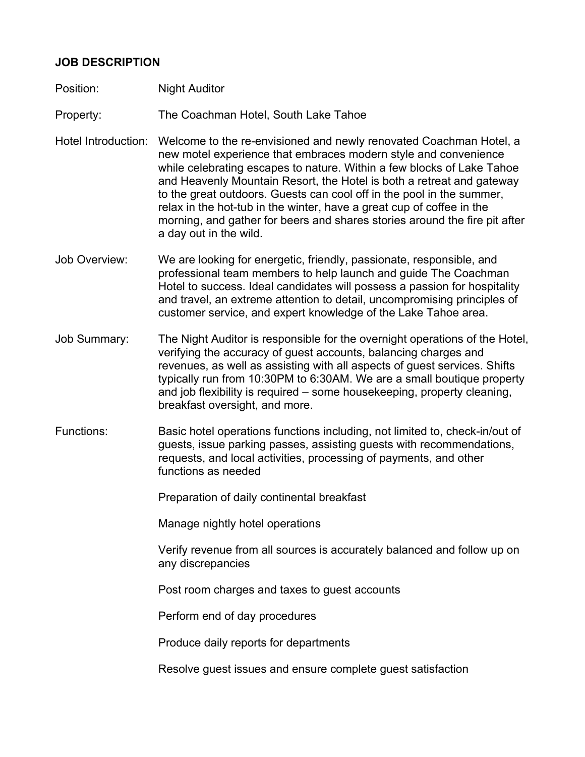## **JOB DESCRIPTION**

Position: Night Auditor

Property: The Coachman Hotel, South Lake Tahoe

- Hotel Introduction: Welcome to the re-envisioned and newly renovated Coachman Hotel, a new motel experience that embraces modern style and convenience while celebrating escapes to nature. Within a few blocks of Lake Tahoe and Heavenly Mountain Resort, the Hotel is both a retreat and gateway to the great outdoors. Guests can cool off in the pool in the summer, relax in the hot-tub in the winter, have a great cup of coffee in the morning, and gather for beers and shares stories around the fire pit after a day out in the wild.
- Job Overview: We are looking for energetic, friendly, passionate, responsible, and professional team members to help launch and guide The Coachman Hotel to success. Ideal candidates will possess a passion for hospitality and travel, an extreme attention to detail, uncompromising principles of customer service, and expert knowledge of the Lake Tahoe area.
- Job Summary: The Night Auditor is responsible for the overnight operations of the Hotel, verifying the accuracy of guest accounts, balancing charges and revenues, as well as assisting with all aspects of guest services. Shifts typically run from 10:30PM to 6:30AM. We are a small boutique property and job flexibility is required – some housekeeping, property cleaning, breakfast oversight, and more.
- Functions: Basic hotel operations functions including, not limited to, check-in/out of guests, issue parking passes, assisting guests with recommendations, requests, and local activities, processing of payments, and other functions as needed

Preparation of daily continental breakfast

Manage nightly hotel operations

Verify revenue from all sources is accurately balanced and follow up on any discrepancies

Post room charges and taxes to guest accounts

Perform end of day procedures

Produce daily reports for departments

Resolve guest issues and ensure complete guest satisfaction